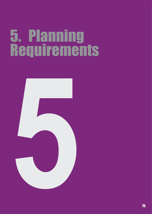# 5. Planning Requirements

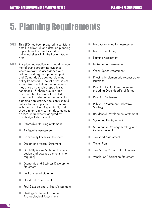# 5. Planning Requirements

- **5.0.1.** This SPD has been prepared in sufficient detail to allow full and detailed planning applications to come forward on individual sites within the Eastern Gate area.
- **5.0.2.** Any planning application should include the following supporting evidence, where relevant, in accordance with national and regional planning policy and Cambridge's adopted planning policy framework. The list below is not exhaustive as additional requirements may arise as a result of specific site conditions. Furthermore, in order to ensure that the level of detailed assessment is relevant to the particular planning application, applicants should enter into pre-application discussions with the Local Planning Authority and should refer to any current documentation on local requirements adopted by Cambridge City Council.
	- **Affordable Housing Statement**
	- Air Quality Assessment
	- **Community Facilities Statement**
	- Design and Access Statement
	- **Disability Access Statement (where a** design and access statement is not required)
	- Economic and Business Development **Statement**
	- **Environmental Statement**
	- Flood Risk Assessment
	- Foul Sewage and Utilities Assessment
	- Heritage Statement including Archaeological Assessment
- Land Contamination Assessment
- **Landscape Strategy**
- **Lighting Assessment**
- Noise Impact Assessment
- **Den Space Assessment**
- **Phasing/implementation/construction** statement
- **Planning Obligations Statement** including Draft Head(s) of Terms
- **Planning Statement**
- **Public Art Statement/indicative Strategy**
- Residential Development Statement
- Sustainability Statement
- Sustainable Drainage Strategy and Maintenance Plan
- **Transport Assessment**
- **Travel Plan**
- Tree Survey/Arboricultural Survey
- **Nentilation/ Extraction Statement**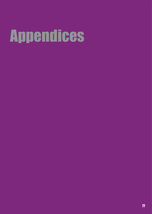# Appendices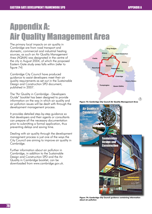$\oplus$ 

# Appendix A: Air Quality Management Area

The primary local impacts on air quality in Cambridge are from road transport and domestic, commercial and industrial heating sources, as such an Air Quality Management Area (AQMA) was designated in the centre of the city in August 2004, of which the proposed Eastern Gate study area falls within (refer to figure 74)

Cambridge City Council have produced guidance to assist developers meet their air quality requirements as set out in the Sustainable Design and Construction SPD document, published in 2007.

The "Air Quality in Cambridge - Developers Guide" booklet has been designed to provide information on the way in which air quality and air pollution issues will be dealt with through the development management process.

It provides detailed step-by-step guidance so that developers and their agents or consultants can prepare all the necessary documentation prior to submitting a formal application, thus preventing delays and saving time.

Dealing with air quality through the development managment process is just one of the ways the City Council are aiming to improve air quality in Cambridge.

Further information about air pollution in Cambridge, in addition to the Sustainable Design and Construction SPD and the Air Quality in Cambridge booklet, can be downloaded from www.cambridge.gov.uk.



**Figure 73: Cambridge City Council Air Quality Management Area** 



**Figure 74: Cambridge City Council guidance containing information about air pollution**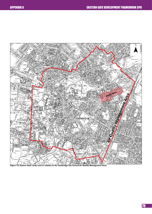

**Figure 75: Eastern Gate study area in relation to the Cambridge City Council Air Quality Management Area**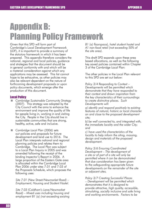# Appendix B: Planning Policy Framework

Given that this SPD will form part of Cambridge's Local Development Framework (LDF), it is important to provide a summary of the statutory framework in which it has been prepared. This appendix therefore considers the national, regional and local policies, guidance and strategies that the document should be in general conformity with and which will be a material consideration against which any applications may be assessed. This list cannot hope to be exhaustive, as other policies may also be relevant dependent on the nature of forthcoming development proposals or upon policy documents, which emerge after the production of this document.

# Local Policy

- *Cambridge Sustainable Community Strategy (2007)*. This strategy was adopted by the City Council with the aims to enhance the environment and improve the quality of life for people living in, working in and visiting the City. People in the City should live in sustainable communities that are strong, healthy, active, safe and inclusive.
- Cambridge Local Plan (2006) sets out policies and proposals for future development and land use to 2016. The Local Plan interprets national and regional planning policies and relates them to Cambridge. The Local Plan was subject to a Local Plan Inquiry in 2005 and was amended following the receipt of the binding Inspector's Report in 2006. A large proportion of the Eastern Gate area is allocated within the Cambridge Local Plan 2006 under sites 7.01 and 7.03 of the Proposals Schedule, which proposes the following uses:

*Site 7.01 (New Street/Newmarket Road) – Employment, Housing and Student Hostel.*

*Site 7.03 (Coldham's Lane/Newmarket Road) – Mixed uses including housing and employment B1 (a) (not exceeding existing*  *B1 (a) floorspace), hotel student hostel and A1 non-food retail (not exceeding 50% of the site area).*

This draft SPD expands upon these area based allocations, as well as the following key saved policies contained within Chapter 3 of the Cambridge Local Plan:

The other policies in the Local Plan relevant to this SPD are set out below:

*Policy 3/4 Responding to Context – Developments will be permitted which demonstrate that they have responded to their context and drawn inspiration from the key characteristics of their surroundings to create distinctive places. Such Developments will:*

*a) identify and respond positively to existing features of natural, historic or local character on and close to the proposed development site;*

*b) be well connected to, and integrated with, the immediate locality and the wider City; and*

*c) have used the characteristics of the locality to help inform the siting, massing, design and materials of the proposed development.*

*Policy 3/6 Ensuring Coordinated Development – The development of a site or of part of a site will only be permitted where it can be demonstrated that due consideration has been given to the safeguarding appropriate future developments on the remainder of the site or adjacent sites.*

*Policy 3/7 Creating Successful Places – Development will be permitted which demonstrates that it is designed to provide attractive, high quality, accessible, stimulating, socially inclusive and safe living and working environments. Factors to be*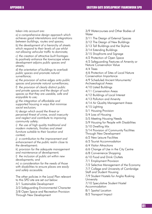*taken into account are:*

*a) a comprehensive design approach which achieves good interrelations and integrations between buildings, routes and spaces;*

*b) the development of a hierarchy of streets which respond to their levels of use whilst not allowing vehicular traffic to dominate;*

*c) the creation of attractive built frontages to positively enhance the townscape where development adjoins public spaces and streets;*

*d) the orientation of buildings to overlook public spaces and promote natural surveillance;*

*e) the provision of active edges onto public spaces and promote natural surveillances;*

*f) the provision of clearly distinct public and private spaces and the design of such spaces so that they are useable, safe and enjoyable to use;*

*g) the integration of affordable and supported housing in ways that minimise social exclusion;*

*h) design which avoid the threat or perceived threat of crime, avoid insecurity and neglect and contribute to improving community safety;*

*i) the use of high quality traditional and modern materials, finishes and street furniture suitable to their location and context;*

*j) a contribution to the improvement and enhancement of the public realm close to the development;*

*k) provision for the adequate management and maintenance of development;*

*l) the inclusion of public art within new developments; and*

*m) a consideration for the needs of those with disabilities to ensure places are easily and safely accessible.*

The other policies in the Local Plan relevant to this SPD site are set out below:

3/1 Sustainable Development

3/3 Safeguarding Environmental Character

3/8 Open Space and Recreation Provision Through New Development

3/9 Watercourses and Other Bodies of **Water** 

3/11 The Design of External Spaces

3/12 The Design of New Buildings

3/13 Tall Buildings and the Skyline

3/14 Extending Buildings

3/15 Shopfronts and Signage

4/2 Protection of Open Space

4/3 Safeguarding Features of Amenity or Nature Conservation Value

4/4 Trees

4/6 Protection of Sites of Local Nature Conservation Importance

4/9 Scheduled Ancient Monuments/ Archaeological Areas

4/10 Listed Buildings

4/11 Conservation Areas

4/12 Buildings of Local Interest

4/13 Pollution and Amenity

4/14 Air Quality Management Areas

4/15 Lighting

5/1 Housing Provision

5/4 Loss of Housing

5/5 Meeting Housing Needs

5/9 Housing for People with Disabilities

5/10 Dwelling Mix

5/14 Provision of Community Facilities

Through New Development

6/2 New Leisure Facilities

6/3 Tourist Accommodation

6/4 Visitor Attractions

6/6 Change of Use in the City Centre

6/8 Convenience Shopping

6/10 Food and Drink Outlets

7/1 Employment Provision

7/2 Selective Management of the Economy

7/7 College and University of Cambridge

Staff and Student Housing

7/9 Student Hostels for Anglia Rusking **University** 

7/10 Speculative Student Hostel Accommodation

8/1 Spatial Location

8/2 Transport Impact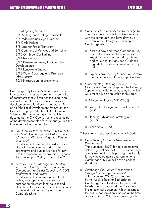- 8/3 Mitigating Measures
- 8/4 Walking and Cycling Accessibility
- 8/5 Pedestrian and Cycle Network
- 8/6 Cycle Parking
- 8/8 Land for Public Transport

8/9 Commercial Vehicles and Servicing

- 8/10 Off-Street Car Parking
- 8/11 New Roads

8/16 Renewable Energy in Major New **Developments** 

8/17 Renewable Energy

8/18 Water, Sewerage and Drainage Infrastructure

10/1 Infrastructure Improvements

Cambridge City Council's Local Development Framework is the overall term for the portfolio of documents that will replace the Local Plan and will set out the City Council's policies for development and land use in the future. As part of the Local Development Framework the Council has prepared a Local Development Scheme. This document specifies which documents the City Council will produce as part of the development plan for Cambridge, and the timetable for their preparation.

**F** GVA Grimley for Cambridge City Council *and South Cambridgeshire District Council (October 2008), Cambridge Sub-Region Retail Study.*

This document assesses the performance of existing retail centres and and the quantitative and qualitative need for new retail (comparison and convenience goods) floorspace up to  $2011$ ,  $2016$  and  $2021$ .

 *Warwick Business Management Limited for Cambridge City Council and South Cambridgeshire District Council (July 2008), Employment Land Review*. This document is an employment land review, which provides an evidence base for employment land policies and allocations for proposed Local Development Frameworks within the City and South Cambridgeshire.

- *Statement of Community Involvement (2007)* The City Council wants to actively engage with the community and have drawn up a Consultation Strategy for Planning in Cambridge which:
	- Sets out how and when Cambridge City Council will involve the community and key stakeholders in preparing, altering and reviewing its Plans and Guidance to guide future development in the City; and
	- Explains how the City Council will involve the community in planning applications.
- *Supplementary Planning Documents.* The City Council has also prepared the following Supplementary Planning Documents, which will potentially be applicable to this area:
	- **Affordable Housing SPD (2008)**
	- **Sustainable Design and Construction SPD** (2007)
	- **Planning Obligations Strategy SPD** (2010)
	- Public Art SPD (2010

Other relevant local level documents include:

- *Cycle Parking Guide for New Residential Development*  This guidance (2009) for developers gives detailed guidelines for the provision on high quality residential cycle parking, specifically for new developments and supplements Cambridge City Council's cycle parking standards.
- *Cambridge City Nature Conservation Strategy 'Enhancing Biodiversity'*  This document (2006) was prepared by the Wildlife Trust for Bedfordshire, Cambridgeshire, Northamptonshire and Peterborough for Cambridge City Council. It is a technical document, which describes the nature conservation situation at the time of production in 2006 and aims to guide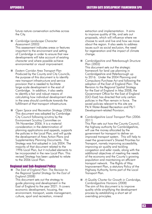future nature conservation activities across the City.

 *Cambridge Landscape Character Assessment (2003)*

This assessment indicates areas or features important to the environment and setting of Cambridge in order to ensure that new developments will take account of existing character and where possible achieve environmental or visual improvement.

- *Eastern Corridor Area Transport Plan* Produced by the County and City Councils, the purpose of this document is to identify new transport infrastructure and service provision that is needed to facilitate large-scale development in the east of Cambridge. In addition, it also seeks to identify a fair and robust means of calculating how individual development sites in the area should contribute towards the fulfillment of that transport infrastructure.
- Open Space and Recreation Strategy (2006) This document was adopted by Cambridge City Council following scrutiny by the Environment Scrutiny Committee on 7th November 2006. It is a material consideration in the determination of planning applications and appeals, supports the policies in the Local Plan, and will guide the development of Area Action Plans and Supplementary Planning Documents. The Strategy was first adopted in July 2004. The majority of that document related to the 1996 Local Plan, but it included elements to be incorporated in the new Local Plan. This revised Strategy has been updated to relate to the 2006 Local Plan.

# Regional and Sub-Regional Policy

 *The East of England Plan: The Revision to the Regional Spatial Strategy for the East of England (2008)* 

This document sets out the strategy to guide planning and development in the East of England to the year 2021. It covers economic development, housing, the environment, transport, waste management, culture, sport and recreation, mineral

extraction and implementation. It aims to improve quality of life, and sets out proposals, which will influence where we choose to work and live and how we move about the region. It also seeks to address issues such as social exclusion, the need for regeneration and the impact of climate change.

 *Cambridgeshire and Peterborough Structure Plan (2003)* 

This document sets out the strategic framework for land use planning in Cambridgeshire and Peterborough up to 2016. Under the 2004 Planning and Compulsory Purchase Act and following the adoption of the East of England Plan: The Revision to the Regional Spatial Strategy for the East of England in May 2008, the Government Office for the East of England (GO-East) has directed that only certain policies in the Plan remain in force. The saved policies relevant to this site are P4/4 Water-Based Recreation and P6/1 Development-related Provision.

 *Cambridgeshire Local Transport Plan (2006- 2011)*

This Plan sets out how the County Council, the highway authority for Cambridgeshire, will use the money allocated by the government for transport to deliver an improved transport system. This will help to meet the government's Shared Priorities for Transport, namely improving accessibility, improving air quality and tackling congestion and safer roads, along with the additional objectives of meeting the needs of the economy and the County's growing population and maintaining an efficient transport network. The Rights of Way Improvement Plan, a statutory Policy of the Highway Authority, forms part of the Local Transport Plan.

 *A Quality Charter for Growth in Cambridge, Cambridgeshire Horizons (2008)* The aim of this document is to improve quality while simplifying the development process by establishing a short set of overriding principles.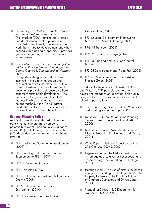- *Biodiversity Checklist for Land Use Planners in Cambridgeshire & Peterborough* This checklist (2001) aims to aid strategic and development control planners when considering biodiversity in relation to their work, both in policy development and when dealing with planning proposals. It provides guidance regarding habitat creation and enhancement.
- S*ustainable Construction in Cambridgeshire - A Good Practice Guide (Cambridgeshire County Council & Cambridgeshire Horizons, 2006)*

This guide is designed to aid all those involved in the planning, design and construction of new developments within Cambridgeshire. It is one of a range of documents providing guidance on different aspects of sustainable development. The purpose of the guide is to illustrate the manner in which development should be approached. It is a Good Practice Guide that seeks to raise the standard of construction across the sub-region.

# National Planning Policy

As this document is area-based, rather than purely thematic, there are a number of potentially relevant Planning Policy Guidance notes (PPG) and Planning Policy Statements (PPS) dependent on the development scheme involved:

- **PPS 1 Delivering Sustainable Development** (2005)
- **PPS: Planning and Climate Change -**Supplement to PPS 1 (2007)
- PPG 2 Green Belt (1995)
- **PPS 3 Housing (2006)**
- **PPS 4 Planning for Sustainable Economic** Growth (2009)
- **PPS 5 Planning for the Historic** Environment (2010)
- PPS 9 Biodiversity and Geological

Conservation (2005)

- **PPS 12 Local Development Frameworks** (2004) Local Spatial Planning (2008)
- PPG 13 Transport (2001)
- PPS 22 Renewable Energy (2004)
- **PPS 23 Planning and Pollution Control** (2004)
- PPS 25 Development and Flood Risk (2006)
- **PPS 25 Development and Flood Risk -**Practice Guide (2008)

In addition to the advice contained in PPGs and PPSs, this SPD pays close regard to the advice and guidance on achieving high quality design in the built environment contained in the following publications:

- **The Urban Design Compendium (Volumes 1** and 2), (English Partnerships, 2007)
- By Design Urban Design in the Planning System: Towards Better Practice, (CABE, 2000)
- **Building in Context: New Development in** Historic Areas (English Heritage and CABE, 2001)
- White Paper Heritage Protection for the 21st Century, (DCMS, 2007)
- Regeneration and the Historic Environment – Heritage as a catalyst for better social and economic regeneration, (English Heritage, 2005)
- $\blacksquare$  Heritage Works: The use of historic buildings in regeneration (English Heritage, the British Property Federation, the Royal Institution of Chartered Surveyors and Drivers Jonas, 2006)
- Manual for Streets 1 & 2(Department for Transport, 2007 & 2010)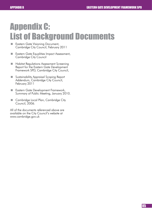# Appendix C: List of Background Documents

- **Eastern Gate Visioning Document,** Cambridge City Council, February 2011
- **Eastern Gate Equalities Impact Assessment,** Cambridge City Council
- **Habitat Regulations Assessment Screening** Report for the Eastern Gate Development Framework SPD, Cambridge City Council,
- **Sustainability Appraisal Scoping Report** Addendum, Cambridge City Council, February 2011
- **Eastern Gate Development Framework,** Summary of Public Meeting, January 2010.
- Cambridge Local Plan, Cambridge City Council, 2006.

All of the documents referenced above are available on the City Council's website at www.cambridge.gov.uk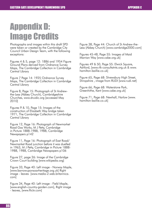# Appendix D: Image Credits

Photographs and images within this draft SPD were taken or created by the Cambridge City Council Urban Design Team, with the following exceptions:

Figures 4 & 5, page 12: 1886 and 1954 Figure Ground Plans derived from Ordnance Survey Maps, The Cambridge Collection in Cambridge Central Library

Figure 7 Page 14: 1925 Ordnance Survey Maps, The Cambridge Collection in Cambridge Central Library

Figure 8, Page 15: Photograph of St Andrewthe-Less (Abbey Church), Cambridgeshire Churches, www.druidic.org [accessed May 2010]

Figures 9 & 10, Page 15: Images of the construction of Elizabeth Way bridge taken 1971, The Cambridge Collection in Cambridge Central Library

Figure 12, Page 16: Photograph of Newmarket Road Gas Works, M J Petty, Cambridge in Picture 1888-1988, 1988, Cambridge Newspapers p142

Figure 11, Page 16: Photograph of East Road/ Newmarket Road junction before it was duelled in 1963, M J Petty, Cambridge in Picture 1888- 1988, 1988, Cambridge Newspapers p106

Figure 27, page 26: Image of the Cambridge Crown Court building [www.wikipedia.org]

Figure 33, Page 40: Left image - Norway Maple, [www.barrowuponsoarheritage.org.uk] Right image - leaves [www.media-2.web.britannica. com]

Figure 34, Page 40: Left image - Field Maple, [www.english-country-garden.com], Right image - leaves, [www.flickr.com]

Figure 38, Page 44: Church of St Andrew-the-Less (Abbey Church) [www.cambridge2000.com]

Figures 45-48, Page 55: Images of Maid Marrian Way [www.cabe.org.uk]

Figures 49 & 50, Page 55: Elwick Square, Ashford, [www.rlk-consultatnts.org.uk & www. hamilton-baillie.co.uk]

Figure 65, Page 68: Shrewsbury High Street, Shropshire , image from RUDI [www.rudi.net]

Figure 66, Page 68: Waterstone Park, Greenhithe, Kent [www.cabe.org.uk]

Figure 71, Page 68: Newhall, Harlow [www. hamilton-baillie.co.uk]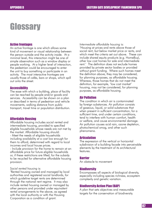# **Glossary**

# Active frontages

An active frontage is one which allows some kind of movement or visual relationship between the person outside and the activity inside. At a minimal level, this interaction might be one of simple observation such as a window display or people working. At a higher level of interaction, the pedestrian could be encouraged to enter the unit to buy something or participate in an activity. The most interactive frontages are usually those of cafés, bars or shops, which spill out onto the street.

# **Accessibility**

The ease with which a building, place of facility can be reached by people and/or goods and services. Accessibility can be shown on a plan or described in terms of pedestrian and vehicle movements, walking distance from public transport, travel time or population distribution.

# Affordable Housing

Affordable housing includes social rented and intermediate housing, provided to specified eligible households whose needs are not met by the market. Affordable housing should:

- Meet the needs of eligible households including availability at a cost low enough for them to afford, determined with regard to local incomes and local house prices.

- Include provision for the home to remain at an affordable price for future eligible households or, if these restrictions are lifted, for the subsidy to be recycled for alternative affordable housing provision.

#### *Social rented housing* is:

'Rented housing owned and managed by local authorities and registered social landlords, for which guideline target rents are determined through the national rent regime. It may also include rented housing owned or managed by other persons and provided under equivalent rental arrangements to the above, as agreed with the local authority or with the Housing Corporation as a condition of grant.

*Intermediate affordable housing* is:

'Housing at prices and rents above those of social rent, but below market price or rents, and which meet the criteria set out above. These can include shared equity products (e.g. HomeBuy), other low cost homes for sale and intermediate rent.' The definition does not exclude homes provided by private sector bodies or provided without grant funding. Where such homes meet the definition above, they may be considered, for planning purposes, as affordable housing. Whereas, those homes that do not meet the definition, for example, 'low cost market' housing, may not be considered, for planning purposes, as affordable housing.

# Air Pollution

The condition in which air is contaminated by foreign substances. Air pollution consists of gaseous, liquid, or solid substances that when present in sufficient concentration, for a sufficient time, and under certain conditions, tend to interfere with human comfort, health or welfare, and cause environmental damage. Air pollution causes acid rain, ozone depletion, photochemical smog, and other such phenomena.

# **Articulation**

The expression of the vertical or horizontal subdivision of a building facade into perceivable elements by the treatment of its architectural features.

# Barrier

An obstacle to movement

# **Biodiversity**

Encompasses all aspects of biological diversity, especially including species richness, ecosystem complexity and genetic variation.

# Biodiversity Action Plan (BAP)

A plan that sets objectives and measurable targets for the conservation of biodiversity.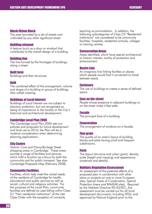# Block/Urban Block

The area bounded by a set of streets and undivided by any other significant street.

# Building element

A feature (such as a door or window) that contributes to the overall design of a building.

# Building line

The line formed by the frontages of buildings along a street.

# Built form

Buildings and their structures

#### Bulk

The combined effect of the arrangement, volume and shape of a building or group of buildings. Also called massing.

# Buildings of Local Interest

Buildings of Local Interest are not subject to statutory protection, but are recognised as being of importance to the locality or the City's historical and architectural development.

#### Cambridge Local Plan 2006

The Cambridge Local Plan 2006 sets out policies and proposals for future development and land use to 2016; the Plan will be a material consideration when determining planning applications.

# City Centre

Historic Core and Fitzroy/Burleigh Street shopping areas in Cambridge. These areas provide a range of facilities and services, which fulfil a function as a focus for both the community and for public transport. See also Cambridge Proposals Map (February 2008).

# Community Facilities

Facilities, which help meet the varied needs of the residents of Cambridge for health, educational and public services as well as social, cultural and religious activities. For the purposes of the Local Plan, community facilities are defined as uses falling within Class D1 "Non residential institutions" of the Use Class Order with the exception of university

teaching accommodation. In addition, the following subcategories of Class C2 "Residential Institutions" are considered to be community facilities: hospitals, residential schools, colleges or training centres.

#### Conservation Areas

Areas identified, which have special architectural or historic interest, worthy of protection and enhancement.

# Desire Line

An imaginary line linking facilties or places which people would find it convenient to travel between easily.

#### **Enclosure**

The use of buildings to create a sense of defined space.

#### Eyes on the street

People whose presence in adjacent buildings or on the street make it feel safer.

#### Facade

The principal face of a building.

#### **Fenestration**

The arrangement of windows on a facade.

#### Fine grain

The quality of an area's layout of building blocks and plots having small and frequent subdivisions.

#### Form

The layout (structure and urban grain), density, scale (height and massing) and appearance (materials and details).

#### Habitats Regulation Assessment

An assessment of the potential effects of a proposed plan in combination with other plans or projects on one or more European sites, Special Areas of Conservation, Special Protection Areas and RAMSAR sites). Required by the Habitats Directive 92/43/EEC, this assessment must be carried out for all local development documents, including SPDs, and approved by Natural England prior to the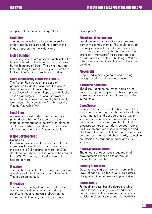adoption of the document in question.

# **Legibility**

The degree to which a place can be easily understood by its users and the clarity of the image it presents to the wider world.

#### Listed Building

A building or structure of special architectural or historic interest and included in a list, approved by the Secretary of State. The owner must get Listed Building Consent to carry out alterations that would affect its character or its setting.

#### Local Biodiversity Action Plan (LBAP)

The Action Plan works on the basis of partnership to identify local priorities and to determine the contribution they can make to the delivery of the national Species and Habitat Action Plan targets. The Local Biodiversity Action Plan has been prepared by Biodiversity Cambridgeshire (contact via Cambridgeshire County Council) 1999.

#### Local Plan

Abbreviation used to describe the statutory plan adopted by the City Council. It is a material consideration in determining planning applications, which should be in accordance with them as part of the Development Plan.

#### Major Development

#### Defined as:

Residential development: the erection of 10 or more dwellings or, if this is not known, where the site are is 0.5 hectares or more; or Other development: where the floor area to be created is 1,000m2 or more, or the site area is 1 hectare or more.

#### **Massing**

The combined effect of the arrangement, volume and shape of a building or group of elements. This is also called bulk.

#### **Mitigation**

The purpose of mitigation is to avoid, reduce and where possible remedy or offset any significant negative (adverse) effects on the environment etc arising from the proposed

development.

#### Mixed use development

Development comprising two or more uses as part of the same scheme. This could apply at a variety of scales from individual buildings, to a street, to a new neighbourhood or urban extension. 'Horizontal' mixed uses are side by side, usually in different buildings. Vertical mixed uses are on different floors of the same building.

#### Movement

People and vehicles going to and passing through buildings, places and spaces.

#### Natural surveillance

The discouragement to wrong-doing by the presence of passers by or the ability of people to see out of windows. Also know as passive surveillance.

# **Onen Space**

Includes all open space of public value. There is a broad range of spaces that may be of public value - not just land but also areas of water such as rivers and lakes - and includes, parks and gardens; natural and semi-natural urban greenspaces; green corridors; outdoor sports facilities; amenity greenspace; teenager's and children's play areas; allotments and community gardens; cemeteries and churchyards; accessible countryside in urban fringe areas and civic spaces.

#### Open Space Standards

The amount of open space required in all developments either on site or through commuted payments.

#### Parking Standards

Document setting out maximum permissible levels of car parking for various use-classes, along with minimum levels of cycle parking.

#### **Permeability**

Permeability describes the degree to which urban forms, buildings, places and spaces permit or restrict the movement of people or vehicles in different directions. Permeability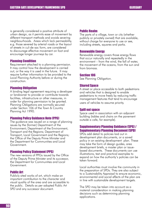is generally considered a positive attribute of urban design, as it permits ease of movement by different transport methods and avoids severing neighbourhoods. Areas which lack permeability, e.g. those severed by arterial roads or the layout of streets in cul-de-sac form, are considered to discourage effective movement on foot and encourage longer journeys by car.

# Planning Condition

Requirement attached to a planning permission. It may control how the development is carried out, or the way it is used in the future. It may require further information to be provided to the Local Planning Authority before or during the construction.

# Planning Obligation

A binding legal agreement requiring a developer or landowner to provide or contribute towards facilities, infrastructure or other measures, in order for planning permission to be granted. Planning Obligations are normally secured under Section 106 of the Town & Country Planning Act 1990.

# Planning Policy Guidance Note (PPG)

The guidance was issued on a range of planning issues by the (former) Department of the Environment; Department of the Environment, Transport and the Regions; Department of Transport, Local Government and the Regions; the Office of the Deputy Prime Minister and the Department for Communities and Local Government.

#### Planning Policy Statement (PPS)

The new versions of PPGs issued by the Office of the Deputy Prime Minister and its successor, the Department for Communities and Local Government.

# Public Art

Publicly sited works of art, which make an important contribution to the character and visual quality of the area and are accessible to the public. Details as per adopted Public Art SPD and any successor document.

# Public Realm

The parts of a village, town or city (whether publicly or privately owned) that are available, without charge for everyone to use or see, including streets, squares and parks.

# Renewable Energy

Renewable energy covers those energy flows that occur naturally and repeatedly in the environment – from the wind, the fall of water, the movement of the oceans, from the sun and from biomass.

#### Section 106

See Planning Obligation.

#### **Shared Snace**

A street or place accessible to both pedestrians and vehicles that is designed to enable pedestrians to move freely by reducing traffic management features that tend to encourage users of vehicles to assume priority.

#### Spill out space

Space used in association with an adjacent building (tables and chairs on the pavement outside a cafe, for example).

# Supplementary Planning Guidance (SPG) / Supplementary Planning Document (SPD)

SPDs add detail to policies laid out in development plan documents, or a saved policy in an existing development plan. These may take the form of design guides, area development briefs, a master plan or issuebased documents. These documents can use illustrations, text and practical examples to expand on how the authority's policies can be taken forward.

Local authorities must involve the community in the preparation of SPDs. They are also subject to a Sustainability Appraisal to ensure economic, environmental and social effects of the plan are in line with sustainable development targets.

The SPD may be taken into account as a material consideration in making planning decisions such as determining planning applications.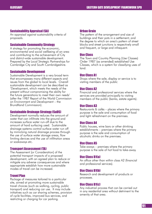# Sustainability Appraisal (SA)

An appraisal against sustainability criteria of proposals.

# Sustainable Community Strategy

A strategy for promoting the economic, environmental and social wellbeing of an area and contributing to the achievement of City and district-wide sustainable development. Prepared by the Local Strategic Partnerships for Cambridge City and South Cambridgeshire.

# Sustainable Development

Sustainable Development is a very broad term that encompasses many different aspects and issues from the global to local levels. Overall sustainable development can be described as 'Development, which meets the needs of the present without compromising the ability for the future generations to meet their own needs' (after the 1987 Report of the World Commission on Environment and Development – the Brundtland Commission).

# Sustainable Drainage Strategy (SuDS)

Development normally reduces the amount of water that can infiltrate into the ground and increases surface water run-off due to the amount of hard surfacing used. Sustainable drainage systems control surface water run off by mimicking natural drainage process through the use of surface water storage areas, flow limiting devices and the use of infiltration areas or soakaways etc.

# Transport Assessment (TA)

The Assessment [or Consideration] of the potential transport impacts of a proposed development, with an agreed plan to reduce or mitigate any adverse consequences and where appropriate establish how more sustainable modes of travel can be increased.

# Travel Plan

Package of measures tailored to a particular site, aimed at promoting more sustainable travel choices (such as walking, cycling, public transport) and reducing car use. It may include initiatives such as car sharing schemes, provision of cycle facilities, improved bus services, and restricting or charging for car parking.

# Urban Grain

The pattern of the arrangement and size of buildings and their pots in a settlement; and the degree to which an area's pattern of street blocks and street junctions is respectively small and frequent, or large and infrequent.

# Use Class

The Town and Country Planning (Use Classes) Order 1987 (as amended) established Use Classes, which is a system for classifying uses of land.

# Use Class A1

Shops where the sale, display or service is to visiting members of the public

# Use Class A2

Financial and professional services where the services are provided principally to visiting members of the public (banks, estate agents).

# Use Class A3

Restaurants & cafés – places where the primary purpose is the sale and consumption of food and light refreshment on the premises.

# Use Class A4

Public houses, wine bars or other drinking establishments – premises where the primary purpose is the sale and consumption of alcoholic drinks on the premises.

# Use Class A5

Take-aways – premises where the primary purpose is the sale of hot food to take-away.

# Use Class B1(a)

An office other than within class A2 (financial and professional services).

# Use Class B1(b)

Research and development of products or processes.

# Use Class B1(c)

Any industrial process that can be carried out in any residential area without detriment to the amenity of that area.